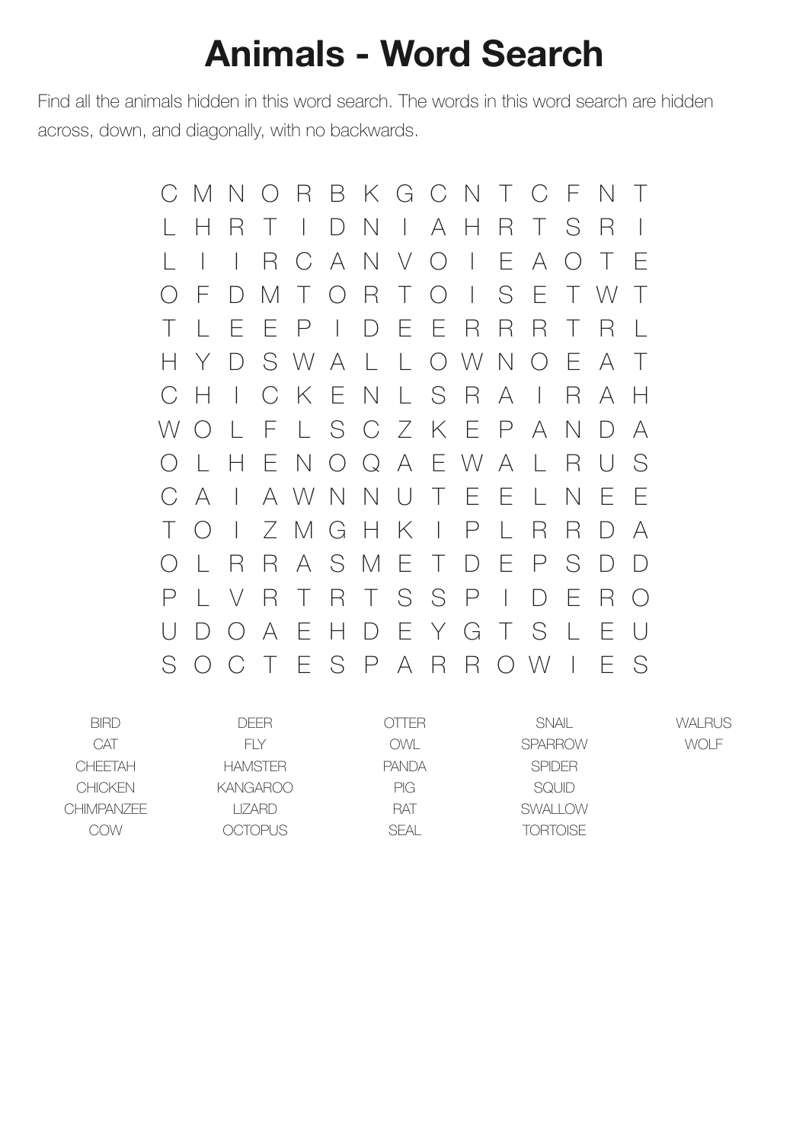## **Animals - Word Search**

Find all the animals hidden in this word search. The words in this word search are hidden across, down, and diagonally, with no backwards.

> C M N O R B K G C N T C F N T L H R T I D N I A H R T S R I L I I R C A N V O I E A O T E O F D M T O R T O I S E T W T T L E E P I D E E R R R T R L H Y D S W A L L O W N O E A T C H I C K E N L S R A I R A H W O L F L S C Z K E P A N D A O L H E N O Q A E W A L R U S C A I A W N N U T E E L N E E T O I Z M G H K I P L R R D A O L R R A S M E T D E P S D D P L V R T R T S S P I D E R O U D O A E H D E Y G T S L E U S O C T E S P A R R O W I E S

| <b>BIRD</b>    | DFFR.          | OTTER        | <b>SNAIL</b>    | <b>WALRUS</b> |
|----------------|----------------|--------------|-----------------|---------------|
| CAT            | FI Y           | OWI .        | <b>SPARROW</b>  | WOLE          |
| CHFFTAH        | <b>HAMSTER</b> | <b>PANDA</b> | <b>SPIDER</b>   |               |
| <b>CHICKEN</b> | KANGAROO       | <b>PIG</b>   | <b>SQUID</b>    |               |
| CHIMPANZEE     | I IZARD        | <b>RAT</b>   | <b>SWALLOW</b>  |               |
| COW            | OCTOPUS.       | SFAL         | <b>TORTOISE</b> |               |